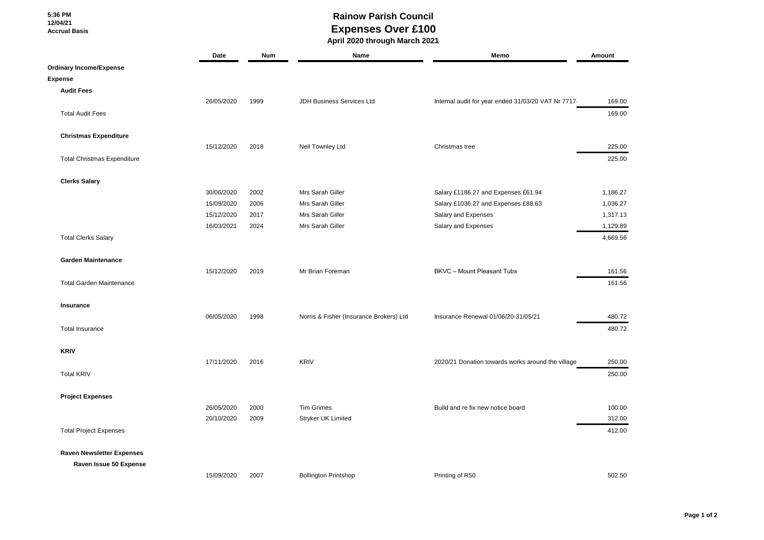**5:36 PM 12/04/21 Accrual Basis**

## **Rainow Parish Council Expenses Over £100 April 2020 through March 2021**

|                                    |            | APULLEVED ULLOUGH MAI VILLEVET |                                         |                                                    |          |  |  |
|------------------------------------|------------|--------------------------------|-----------------------------------------|----------------------------------------------------|----------|--|--|
|                                    | Date       | <b>Num</b>                     | Name                                    | Memo                                               | Amount   |  |  |
| <b>Ordinary Income/Expense</b>     |            |                                |                                         |                                                    |          |  |  |
| <b>Expense</b>                     |            |                                |                                         |                                                    |          |  |  |
| <b>Audit Fees</b>                  |            |                                |                                         |                                                    |          |  |  |
|                                    | 26/05/2020 | 1999                           | JDH Business Services Ltd               | Internal audit for year ended 31/03/20 VAT Nr 7717 | 169.00   |  |  |
| <b>Total Audit Fees</b>            |            |                                |                                         |                                                    | 169.00   |  |  |
| <b>Christmas Expenditure</b>       |            |                                |                                         |                                                    |          |  |  |
|                                    | 15/12/2020 | 2018                           | Neil Townley Ltd                        | Christmas tree                                     | 225.00   |  |  |
| <b>Total Christmas Expenditure</b> |            |                                |                                         |                                                    | 225.00   |  |  |
| <b>Clerks Salary</b>               |            |                                |                                         |                                                    |          |  |  |
|                                    | 30/06/2020 | 2002                           | Mrs Sarah Giller                        | Salary £1186.27 and Expenses £61.94                | 1,186.27 |  |  |
|                                    | 15/09/2020 | 2006                           | Mrs Sarah Giller                        | Salary £1036.27 and Expenses £88.63                | 1,036.27 |  |  |
|                                    | 15/12/2020 | 2017                           | Mrs Sarah Giller                        | Salary and Expenses                                | 1,317.13 |  |  |
|                                    | 16/03/2021 | 2024                           | Mrs Sarah Giller                        | Salary and Expenses                                | 1,129.89 |  |  |
| <b>Total Clerks Salary</b>         |            |                                |                                         |                                                    | 4,669.56 |  |  |
| <b>Garden Maintenance</b>          |            |                                |                                         |                                                    |          |  |  |
|                                    | 15/12/2020 | 2019                           | Mr Brian Foreman                        | <b>BKVC</b> - Mount Pleasant Tubs                  | 161.56   |  |  |
| <b>Total Garden Maintenance</b>    |            |                                |                                         |                                                    | 161.56   |  |  |
| Insurance                          |            |                                |                                         |                                                    |          |  |  |
|                                    | 06/05/2020 | 1998                           | Norris & Fisher (Insurance Brokers) Ltd | Insurance Renewal 01/06/20-31/05/21                | 480.72   |  |  |
| <b>Total Insurance</b>             |            |                                |                                         |                                                    | 480.72   |  |  |
| <b>KRIV</b>                        |            |                                |                                         |                                                    |          |  |  |
|                                    | 17/11/2020 | 2016                           | <b>KRIV</b>                             | 2020/21 Donation towards works around the village  | 250.00   |  |  |
| <b>Total KRIV</b>                  |            |                                |                                         |                                                    | 250.00   |  |  |
| <b>Project Expenses</b>            |            |                                |                                         |                                                    |          |  |  |
|                                    | 26/05/2020 | 2000                           | <b>Tim Grimes</b>                       | Build and re fix new notice board                  | 100.00   |  |  |
|                                    | 20/10/2020 | 2009                           | <b>Stryker UK Limited</b>               |                                                    | 312.00   |  |  |
| <b>Total Project Expenses</b>      |            |                                |                                         |                                                    | 412.00   |  |  |
| <b>Raven Newsletter Expenses</b>   |            |                                |                                         |                                                    |          |  |  |
| Raven Issue 50 Expense             |            |                                |                                         |                                                    |          |  |  |
|                                    | 15/09/2020 | 2007                           | <b>Bollington Printshop</b>             | Printing of R50                                    | 502.50   |  |  |